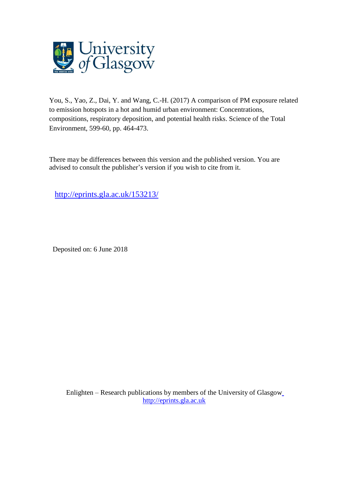

You, S., Yao, Z., Dai, Y. and Wang, C.-H. (2017) A comparison of PM exposure related to emission hotspots in a hot and humid urban environment: Concentrations, compositions, respiratory deposition, and potential health risks. Science of the Total Environment, 599-60, pp. 464-473.

There may be differences between this version and the published version. You are advised to consult the publisher's version if you wish to cite from it.

<http://eprints.gla.ac.uk/153213/>

Deposited on: 6 June 2018

Enlighten – Research publications by members of the University of Glasgo[w](http://eprints.gla.ac.uk/) [http://eprints.gla.ac.uk](http://eprints.gla.ac.uk/)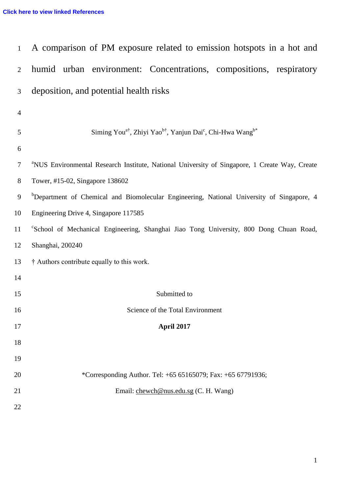| $\mathbf{1}$   | A comparison of PM exposure related to emission hotspots in a hot and                                     |  |  |  |  |  |  |  |  |  |
|----------------|-----------------------------------------------------------------------------------------------------------|--|--|--|--|--|--|--|--|--|
| 2              | humid urban environment: Concentrations, compositions, respiratory                                        |  |  |  |  |  |  |  |  |  |
| 3              | deposition, and potential health risks                                                                    |  |  |  |  |  |  |  |  |  |
| $\overline{4}$ |                                                                                                           |  |  |  |  |  |  |  |  |  |
| 5              | Siming You <sup>a†</sup> , Zhiyi Yao <sup>b†</sup> , Yanjun Dai <sup>c</sup> , Chi-Hwa Wang <sup>b*</sup> |  |  |  |  |  |  |  |  |  |
| 6              |                                                                                                           |  |  |  |  |  |  |  |  |  |
| 7              | <sup>a</sup> NUS Environmental Research Institute, National University of Singapore, 1 Create Way, Create |  |  |  |  |  |  |  |  |  |
| 8              | Tower, #15-02, Singapore 138602                                                                           |  |  |  |  |  |  |  |  |  |
| 9              | <sup>b</sup> Department of Chemical and Biomolecular Engineering, National University of Singapore, 4     |  |  |  |  |  |  |  |  |  |
| 10             | Engineering Drive 4, Singapore 117585                                                                     |  |  |  |  |  |  |  |  |  |
| 11             | "School of Mechanical Engineering, Shanghai Jiao Tong University, 800 Dong Chuan Road,                    |  |  |  |  |  |  |  |  |  |
| 12             | Shanghai, 200240                                                                                          |  |  |  |  |  |  |  |  |  |
| 13             | † Authors contribute equally to this work.                                                                |  |  |  |  |  |  |  |  |  |
| 14             |                                                                                                           |  |  |  |  |  |  |  |  |  |
| 15             | Submitted to                                                                                              |  |  |  |  |  |  |  |  |  |
| 16             | Science of the Total Environment                                                                          |  |  |  |  |  |  |  |  |  |
| 17             | April 2017                                                                                                |  |  |  |  |  |  |  |  |  |
| 18             |                                                                                                           |  |  |  |  |  |  |  |  |  |
| 19             |                                                                                                           |  |  |  |  |  |  |  |  |  |
| 20             | *Corresponding Author. Tel: +65 65165079; Fax: +65 67791936;                                              |  |  |  |  |  |  |  |  |  |
| 21             | Email: chewch@nus.edu.sg (C. H. Wang)                                                                     |  |  |  |  |  |  |  |  |  |
| 22             |                                                                                                           |  |  |  |  |  |  |  |  |  |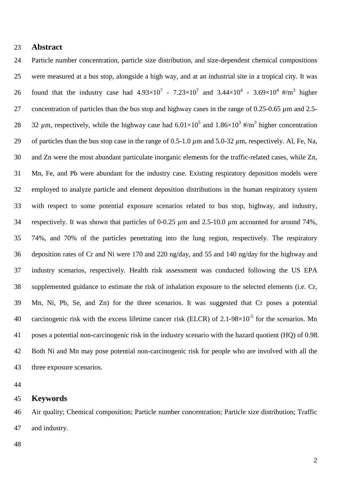# **Abstract**

 Particle number concentration, particle size distribution, and size-dependent chemical compositions were measured at a bus stop, alongside a high way, and at an industrial site in a tropical city. It was 26 found that the industry case had  $4.93 \times 10^{7}$  -  $7.23 \times 10^{7}$  and  $3.44 \times 10^{4}$  -  $3.69 \times 10^{4}$  #/m<sup>3</sup> higher concentration of particles than the bus stop and highway cases in the range of 0.25-0.65 *µ*m and 2.5- 28 32  $\mu$ m, respectively, while the highway case had  $6.01 \times 10^5$  and  $1.86 \times 10^3$  #/m<sup>3</sup> higher concentration 29 of particles than the bus stop case in the range of 0.5-1.0  $\mu$ m and 5.0-32  $\mu$ m, respectively. Al, Fe, Na, and Zn were the most abundant particulate inorganic elements for the traffic-related cases, while Zn, Mn, Fe, and Pb were abundant for the industry case. Existing respiratory deposition models were employed to analyze particle and element deposition distributions in the human respiratory system with respect to some potential exposure scenarios related to bus stop, highway, and industry, respectively. It was shown that particles of 0-0.25 *µ*m and 2.5-10.0 *µ*m accounted for around 74%, 74%, and 70% of the particles penetrating into the lung region, respectively. The respiratory deposition rates of Cr and Ni were 170 and 220 ng/day, and 55 and 140 ng/day for the highway and industry scenarios, respectively. Health risk assessment was conducted following the US EPA supplemented guidance to estimate the risk of inhalation exposure to the selected elements (i.e. Cr, Mn, Ni, Pb, Se, and Zn) for the three scenarios. It was suggested that Cr poses a potential 40 carcinogenic risk with the excess lifetime cancer risk (ELCR) of 2.1-98 $\times$ 10<sup>-5</sup> for the scenarios. Mn poses a potential non-carcinogenic risk in the industry scenario with the hazard quotient (HQ) of 0.98. Both Ni and Mn may pose potential non-carcinogenic risk for people who are involved with all the three exposure scenarios.

## **Keywords**

 Air quality; Chemical composition; Particle number concentration; Particle size distribution; Traffic and industry.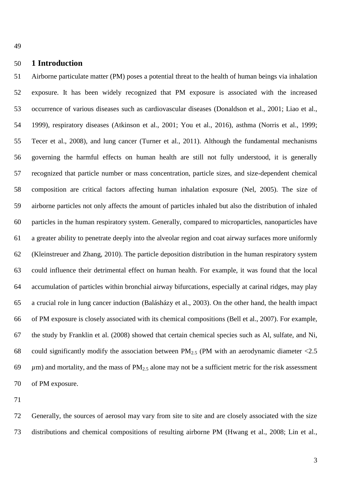## **1 Introduction**

 Airborne particulate matter (PM) poses a potential threat to the health of human beings via inhalation exposure. It has been widely recognized that PM exposure is associated with the increased occurrence of various diseases such as cardiovascular diseases (Donaldson et al., 2001; Liao et al., 1999), respiratory diseases (Atkinson et al., 2001; You et al., 2016), asthma (Norris et al., 1999; Tecer et al., 2008), and lung cancer (Turner et al., 2011). Although the fundamental mechanisms governing the harmful effects on human health are still not fully understood, it is generally recognized that particle number or mass concentration, particle sizes, and size-dependent chemical composition are critical factors affecting human inhalation exposure (Nel, 2005). The size of airborne particles not only affects the amount of particles inhaled but also the distribution of inhaled particles in the human respiratory system. Generally, compared to microparticles, nanoparticles have a greater ability to penetrate deeply into the alveolar region and coat airway surfaces more uniformly (Kleinstreuer and Zhang, 2010). The particle deposition distribution in the human respiratory system could influence their detrimental effect on human health. For example, it was found that the local accumulation of particles within bronchial airway bifurcations, especially at carinal ridges, may play a crucial role in lung cancer induction (Balásházy et al., 2003). On the other hand, the health impact of PM exposure is closely associated with its chemical compositions (Bell et al., 2007). For example, the study by Franklin et al. (2008) showed that certain chemical species such as Al, sulfate, and Ni, 68 could significantly modify the association between  $PM_{2.5}$  (PM with an aerodynamic diameter <2.5  $\mu$ m) and mortality, and the mass of PM<sub>2.5</sub> alone may not be a sufficient metric for the risk assessment of PM exposure.

 Generally, the sources of aerosol may vary from site to site and are closely associated with the size distributions and chemical compositions of resulting airborne PM (Hwang et al., 2008; Lin et al.,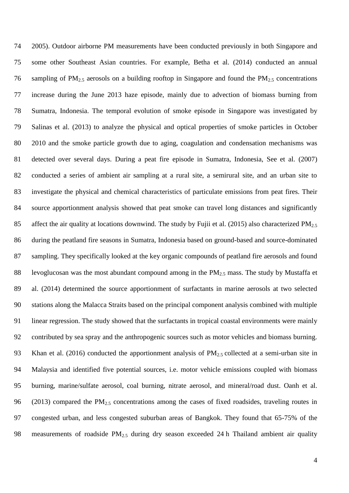2005). Outdoor airborne PM measurements have been conducted previously in both Singapore and some other Southeast Asian countries. For example, Betha et al. (2014) conducted an annual 76 sampling of  $PM_{2.5}$  aerosols on a building rooftop in Singapore and found the  $PM_{2.5}$  concentrations increase during the June 2013 haze episode, mainly due to advection of biomass burning from Sumatra, Indonesia. The temporal evolution of smoke episode in Singapore was investigated by Salinas et al. (2013) to analyze the physical and optical properties of smoke particles in October 2010 and the smoke particle growth due to aging, coagulation and condensation mechanisms was detected over several days. During a peat fire episode in Sumatra, Indonesia, See et al. (2007) conducted a series of ambient air sampling at a rural site, a semirural site, and an urban site to investigate the physical and chemical characteristics of particulate emissions from peat fires. Their source apportionment analysis showed that peat smoke can travel long distances and significantly 85 affect the air quality at locations downwind. The study by Fujii et al. (2015) also characterized  $PM_{2.5}$  during the peatland fire seasons in Sumatra, Indonesia based on ground-based and source-dominated sampling. They specifically looked at the key organic compounds of peatland fire aerosols and found 88 levoglucosan was the most abundant compound among in the  $PM_{2.5}$  mass. The study by Mustaffa et al. (2014) determined the source apportionment of surfactants in marine aerosols at two selected stations along the Malacca Straits based on the principal component analysis combined with multiple linear regression. The study showed that the surfactants in tropical coastal environments were mainly contributed by sea spray and the anthropogenic sources such as motor vehicles and biomass burning. 93 Khan et al. (2016) conducted the apportionment analysis of PM<sub>2.5</sub> collected at a semi-urban site in Malaysia and identified five potential sources, i.e. motor vehicle emissions coupled with biomass burning, marine/sulfate aerosol, coal burning, nitrate aerosol, and mineral/road dust. Oanh et al. 96 (2013) compared the  $PM_{2.5}$  concentrations among the cases of fixed roadsides, traveling routes in congested urban, and less congested suburban areas of Bangkok. They found that 65-75% of the 98 measurements of roadside  $PM<sub>2.5</sub>$  during dry season exceeded 24 h Thailand ambient air quality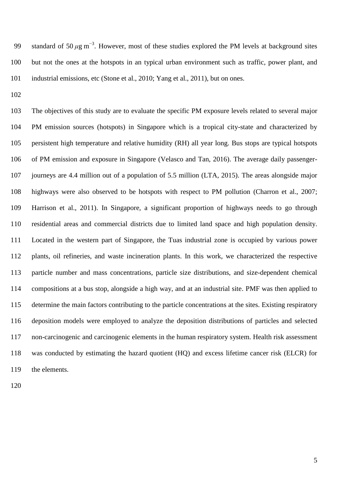99 standard of 50  $\mu$ g m<sup>-3</sup>. However, most of these studies explored the PM levels at background sites but not the ones at the hotspots in an typical urban environment such as traffic, power plant, and industrial emissions, etc (Stone et al., 2010; Yang et al., 2011), but on ones.

 The objectives of this study are to evaluate the specific PM exposure levels related to several major PM emission sources (hotspots) in Singapore which is a tropical city-state and characterized by persistent high temperature and relative humidity (RH) all year long. Bus stops are typical hotspots of PM emission and exposure in Singapore (Velasco and Tan, 2016). The average daily passenger- journeys are 4.4 million out of a population of 5.5 million (LTA, 2015). The areas alongside major highways were also observed to be hotspots with respect to PM pollution (Charron et al., 2007; Harrison et al., 2011). In Singapore, a significant proportion of highways needs to go through residential areas and commercial districts due to limited land space and high population density. Located in the western part of Singapore, the Tuas industrial zone is occupied by various power plants, oil refineries, and waste incineration plants. In this work, we characterized the respective particle number and mass concentrations, particle size distributions, and size-dependent chemical compositions at a bus stop, alongside a high way, and at an industrial site. PMF was then applied to determine the main factors contributing to the particle concentrations at the sites. Existing respiratory deposition models were employed to analyze the deposition distributions of particles and selected non-carcinogenic and carcinogenic elements in the human respiratory system. Health risk assessment was conducted by estimating the hazard quotient (HQ) and excess lifetime cancer risk (ELCR) for the elements.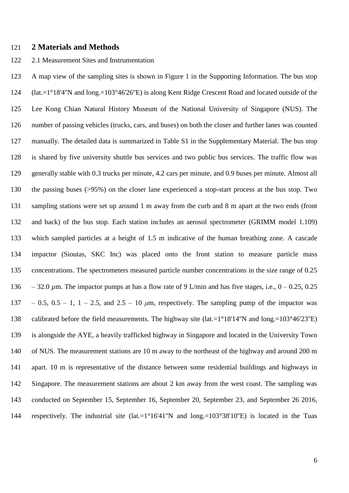## **2 Materials and Methods**

#### 2.1 Measurement Sites and Instrumentation

 A map view of the sampling sites is shown in Figure 1 in the Supporting Information. The bus stop (lat.=1°18'4''N and long.=103°46'26''E) is along Kent Ridge Crescent Road and located outside of the Lee Kong Chian Natural History Museum of the National University of Singapore (NUS). The number of passing vehicles (trucks, cars, and buses) on both the closer and further lanes was counted manually. The detailed data is summarized in Table S1 in the Supplementary Material. The bus stop is shared by five university shuttle bus services and two public bus services. The traffic flow was generally stable with 0.3 trucks per minute, 4.2 cars per minute, and 0.9 buses per minute. Almost all the passing buses (>95%) on the closer lane experienced a stop-start process at the bus stop. Two sampling stations were set up around 1 m away from the curb and 8 m apart at the two ends (front and back) of the bus stop. Each station includes an aerosol spectrometer (GRIMM model 1.109) which sampled particles at a height of 1.5 m indicative of the human breathing zone. A cascade impactor (Sioutas, SKC Inc) was placed onto the front station to measure particle mass concentrations. The spectrometers measured particle number concentrations in the size range of 0.25 136 – 32.0  $\mu$ m. The impactor pumps at has a flow rate of 9 L/min and has five stages, i.e.,  $0 - 0.25$ , 0.25 137 – 0.5,  $0.5 - 1$ ,  $1 - 2.5$ , and  $2.5 - 10 \mu m$ , respectively. The sampling pump of the impactor was calibrated before the field measurements. The highway site (lat.=1°18'14''N and long.=103°46'23''E) is alongside the AYE, a heavily trafficked highway in Singapore and located in the University Town of NUS. The measurement stations are 10 m away to the northeast of the highway and around 200 m apart. 10 m is representative of the distance between some residential buildings and highways in Singapore. The measurement stations are about 2 km away from the west coast. The sampling was conducted on September 15, September 16, September 20, September 23, and September 26 2016, respectively. The industrial site (lat.=1°16'41''N and long.=103°38'10''E) is located in the Tuas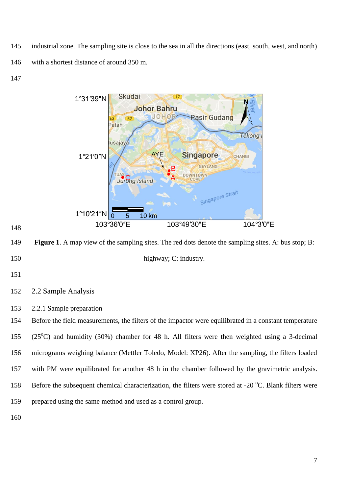145 industrial zone. The sampling site is close to the sea in all the directions (east, south, west, and north) 146 with a shortest distance of around 350 m.

147



148

149 **Figure 1**. A map view of the sampling sites. The red dots denote the sampling sites. A: bus stop; B: 150 highway; C: industry.

- 151
- 152 2.2 Sample Analysis
- 153 2.2.1 Sample preparation

 Before the field measurements, the filters of the impactor were equilibrated in a constant temperature 155 (25<sup>o</sup>C) and humidity (30%) chamber for 48 h. All filters were then weighted using a 3-decimal micrograms weighing balance (Mettler Toledo, Model: XP26). After the sampling, the filters loaded with PM were equilibrated for another 48 h in the chamber followed by the gravimetric analysis. 158 Before the subsequent chemical characterization, the filters were stored at -20 °C. Blank filters were prepared using the same method and used as a control group.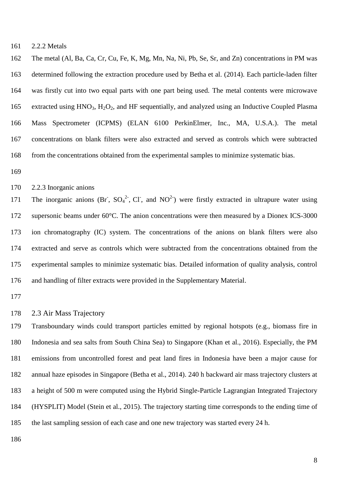2.2.2 Metals

 The metal (Al, Ba, Ca, Cr, Cu, Fe, K, Mg, Mn, Na, Ni, Pb, Se, Sr, and Zn) concentrations in PM was determined following the extraction procedure used by Betha et al. (2014). Each particle-laden filter was firstly cut into two equal parts with one part being used. The metal contents were microwave 165 extracted using HNO<sub>3</sub>, H<sub>2</sub>O<sub>2</sub>, and HF sequentially, and analyzed using an Inductive Coupled Plasma Mass Spectrometer (ICPMS) (ELAN 6100 PerkinElmer, Inc., MA, U.S.A.). The metal concentrations on blank filters were also extracted and served as controls which were subtracted 168 from the concentrations obtained from the experimental samples to minimize systematic bias.

2.2.3 Inorganic anions

171 The inorganic anions (Br,  $SO_4^2$ , Cl, and NO<sup>2</sup>) were firstly extracted in ultrapure water using supersonic beams under 60°C. The anion concentrations were then measured by a Dionex ICS-3000 ion chromatography (IC) system. The concentrations of the anions on blank filters were also extracted and serve as controls which were subtracted from the concentrations obtained from the experimental samples to minimize systematic bias. Detailed information of quality analysis, control and handling of filter extracts were provided in the Supplementary Material.

## 2.3 Air Mass Trajectory

 Transboundary winds could transport particles emitted by regional hotspots (e.g., biomass fire in Indonesia and sea salts from South China Sea) to Singapore (Khan et al., 2016). Especially, the PM emissions from uncontrolled forest and peat land fires in Indonesia have been a major cause for annual haze episodes in Singapore (Betha et al., 2014). 240 h backward air mass trajectory clusters at a height of 500 m were computed using the Hybrid Single-Particle Lagrangian Integrated Trajectory (HYSPLIT) Model (Stein et al., 2015). The trajectory starting time corresponds to the ending time of the last sampling session of each case and one new trajectory was started every 24 h.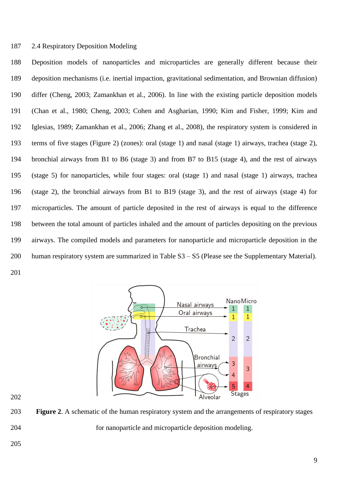## 2.4 Respiratory Deposition Modeling

 Deposition models of nanoparticles and microparticles are generally different because their deposition mechanisms (i.e. inertial impaction, gravitational sedimentation, and Brownian diffusion) differ (Cheng, 2003; Zamankhan et al., 2006). In line with the existing particle deposition models (Chan et al., 1980; Cheng, 2003; Cohen and Asgharian, 1990; Kim and Fisher, 1999; Kim and Iglesias, 1989; Zamankhan et al., 2006; Zhang et al., 2008), the respiratory system is considered in terms of five stages (Figure 2) (zones): oral (stage 1) and nasal (stage 1) airways, trachea (stage 2), bronchial airways from B1 to B6 (stage 3) and from B7 to B15 (stage 4), and the rest of airways (stage 5) for nanoparticles, while four stages: oral (stage 1) and nasal (stage 1) airways, trachea (stage 2), the bronchial airways from B1 to B19 (stage 3), and the rest of airways (stage 4) for microparticles. The amount of particle deposited in the rest of airways is equal to the difference between the total amount of particles inhaled and the amount of particles depositing on the previous airways. The compiled models and parameters for nanoparticle and microparticle deposition in the human respiratory system are summarized in Table S3 – S5 (Please see the Supplementary Material). 



 **Figure 2**. A schematic of the human respiratory system and the arrangements of respiratory stages for nanoparticle and microparticle deposition modeling.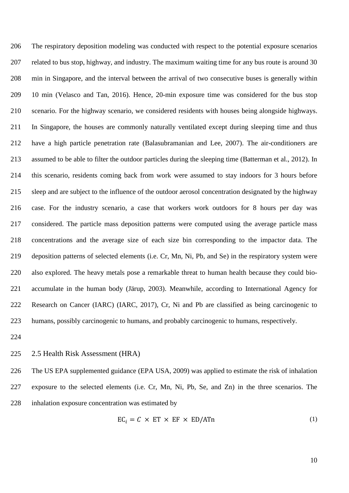The respiratory deposition modeling was conducted with respect to the potential exposure scenarios related to bus stop, highway, and industry. The maximum waiting time for any bus route is around 30 min in Singapore, and the interval between the arrival of two consecutive buses is generally within 10 min (Velasco and Tan, 2016). Hence, 20-min exposure time was considered for the bus stop scenario. For the highway scenario, we considered residents with houses being alongside highways. In Singapore, the houses are commonly naturally ventilated except during sleeping time and thus have a high particle penetration rate (Balasubramanian and Lee, 2007). The air-conditioners are assumed to be able to filter the outdoor particles during the sleeping time (Batterman et al., 2012). In this scenario, residents coming back from work were assumed to stay indoors for 3 hours before sleep and are subject to the influence of the outdoor aerosol concentration designated by the highway case. For the industry scenario, a case that workers work outdoors for 8 hours per day was considered. The particle mass deposition patterns were computed using the average particle mass concentrations and the average size of each size bin corresponding to the impactor data. The deposition patterns of selected elements (i.e. Cr, Mn, Ni, Pb, and Se) in the respiratory system were also explored. The heavy metals pose a remarkable threat to human health because they could bio- accumulate in the human body (Järup, 2003). Meanwhile, according to International Agency for Research on Cancer (IARC) (IARC, 2017), Cr, Ni and Pb are classified as being carcinogenic to humans, possibly carcinogenic to humans, and probably carcinogenic to humans, respectively.

2.5 Health Risk Assessment (HRA)

 The US EPA supplemented guidance (EPA USA, 2009) was applied to estimate the risk of inhalation exposure to the selected elements (i.e. Cr, Mn, Ni, Pb, Se, and Zn) in the three scenarios. The inhalation exposure concentration was estimated by

$$
EC_i = C \times ET \times EF \times ED/ATn \tag{1}
$$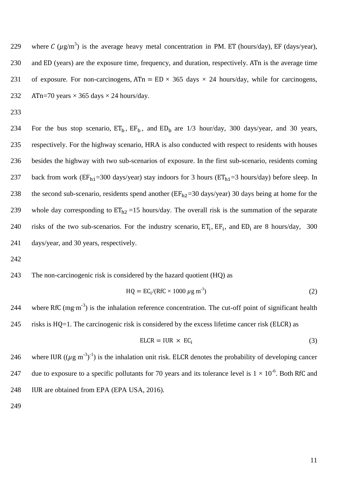229 where C ( $\mu$ g/m<sup>3</sup>) is the average heavy metal concentration in PM. ET (hours/day), EF (days/year), 230 and ED (years) are the exposure time, frequency, and duration, respectively. ATn is the average time 231 of exposure. For non-carcinogens,  $ATn = ED \times 365$  days  $\times$  24 hours/day, while for carcinogens, 232  $\text{ATn=70 years} \times 365 \text{ days} \times 24 \text{ hours/day}.$ 

233

234 For the bus stop scenario,  $ET_b$ ,  $EF_b$ , and  $ED_b$  are 1/3 hour/day, 300 days/year, and 30 years, 235 respectively. For the highway scenario, HRA is also conducted with respect to residents with houses 236 besides the highway with two sub-scenarios of exposure. In the first sub-scenario, residents coming 237 back from work ( $EF_{h1}$ =300 days/year) stay indoors for 3 hours ( $ET_{h1}$ =3 hours/day) before sleep. In 238 the second sub-scenario, residents spend another ( $EF_{h2}=30$  days/year) 30 days being at home for the 239 whole day corresponding to  $ET_{h2} = 15$  hours/day. The overall risk is the summation of the separate 240 risks of the two sub-scenarios. For the industry scenario,  $ET_i$ ,  $EF_j$ , and  $ED_i$  are 8 hours/day, 300 241 days/year, and 30 years, respectively.

242

## 243 The non-carcinogenic risk is considered by the hazard quotient (HQ) as

$$
HQ = ECi/(RfC \times 1000 \mu g m-3)
$$
 (2)

244 where RfC (mg⋅m<sup>-3</sup>) is the inhalation reference concentration. The cut-off point of significant health 245 risks is  $HQ=1$ . The carcinogenic risk is considered by the excess lifetime cancer risk (ELCR) as

$$
ELCR = IUR \times EC_i \tag{3}
$$

246 where IUR (( $\mu$ g m<sup>-3</sup>)<sup>-1</sup>) is the inhalation unit risk. ELCR denotes the probability of developing cancer 247 due to exposure to a specific pollutants for 70 years and its tolerance level is  $1 \times 10^{-6}$ . Both RfC and 248 IUR are obtained from EPA (EPA USA, 2016).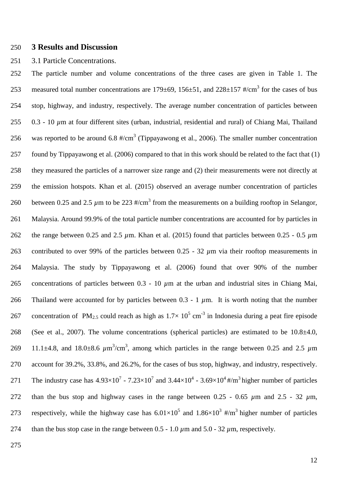## 250 **3 Results and Discussion**

## 251 3.1 Particle Concentrations.

252 The particle number and volume concentrations of the three cases are given in Table 1. The 253 measured total number concentrations are  $179\pm69$ ,  $156\pm51$ , and  $228\pm157$  #/cm<sup>3</sup> for the cases of bus 254 stop, highway, and industry, respectively. The average number concentration of particles between 255 0.3 - 10  $\mu$ m at four different sites (urban, industrial, residential and rural) of Chiang Mai, Thailand 256 was reported to be around 6.8  $\frac{\text{#}}{\text{cm}^3}$  (Tippayawong et al., 2006). The smaller number concentration 257 found by Tippayawong et al. (2006) compared to that in this work should be related to the fact that (1) 258 they measured the particles of a narrower size range and (2) their measurements were not directly at 259 the emission hotspots. Khan et al. (2015) observed an average number concentration of particles 260 between 0.25 and 2.5  $\mu$ m to be 223 #/cm<sup>3</sup> from the measurements on a building rooftop in Selangor, 261 Malaysia. Around 99.9% of the total particle number concentrations are accounted for by particles in 262 the range between 0.25 and 2.5 *µ*m. Khan et al. (2015) found that particles between 0.25 - 0.5 *µ*m 263 contributed to over 99% of the particles between 0.25 - 32  $\mu$ m via their rooftop measurements in 264 Malaysia. The study by Tippayawong et al. (2006) found that over 90% of the number 265 concentrations of particles between 0.3 - 10 *µ*m at the urban and industrial sites in Chiang Mai, 266 Thailand were accounted for by particles between 0.3 - 1  $\mu$ m. It is worth noting that the number 267 concentration of PM<sub>2.5</sub> could reach as high as  $1.7 \times 10^5$  cm<sup>-3</sup> in Indonesia during a peat fire episode 268 (See et al., 2007). The volume concentrations (spherical particles) are estimated to be  $10.8\pm4.0$ , 269 11.1 $\pm$ 4.8, and 18.0 $\pm$ 8.6  $\mu$ m<sup>3</sup>/cm<sup>3</sup>, among which particles in the range between 0.25 and 2.5  $\mu$ m 270 account for 39.2%, 33.8%, and 26.2%, for the cases of bus stop, highway, and industry, respectively. 271 The industry case has  $4.93 \times 10^7 - 7.23 \times 10^7$  and  $3.44 \times 10^4 - 3.69 \times 10^4$ #/m<sup>3</sup> higher number of particles 272 than the bus stop and highway cases in the range between  $0.25 - 0.65 \mu m$  and  $2.5 - 32 \mu m$ , 273 respectively, while the highway case has  $6.01 \times 10^5$  and  $1.86 \times 10^3$  #/m<sup>3</sup> higher number of particles 274 than the bus stop case in the range between  $0.5 - 1.0 \mu m$  and  $5.0 - 32 \mu m$ , respectively.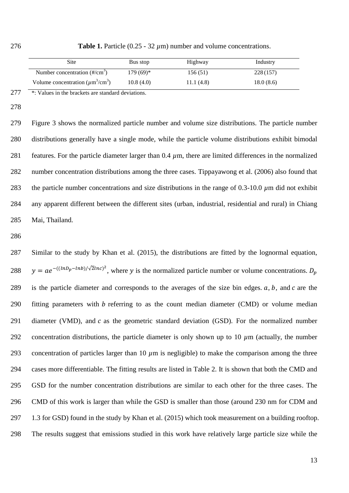276 **Table 1.** Particle (0.25 - 32 *µ*m) number and volume concentrations.

| Site                                                  | Bus stop   | Highway   | Industry  |
|-------------------------------------------------------|------------|-----------|-----------|
| Number concentration $(\frac{\text{#}}{\text{cm}^3})$ | $179(69)*$ | 156(51)   | 228 (157) |
| Volume concentration $(\mu m^3/cm^3)$                 | 10.8(4.0)  | 11.1(4.8) | 18.0(8.6) |

277 \*: Values in the brackets are standard deviations.

278

 Figure 3 shows the normalized particle number and volume size distributions. The particle number distributions generally have a single mode, while the particle volume distributions exhibit bimodal 281 features. For the particle diameter larger than 0.4  $\mu$ m, there are limited differences in the normalized number concentration distributions among the three cases. Tippayawong et al. (2006) also found that 283 the particle number concentrations and size distributions in the range of  $0.3$ -10.0  $\mu$ m did not exhibit any apparent different between the different sites (urban, industrial, residential and rural) in Chiang Mai, Thailand.

286

287 Similar to the study by Khan et al. (2015), the distributions are fitted by the lognormal equation, 288  $y = ae^{-(\frac{(\ln D_p - \ln b)}{\sqrt{2} \ln c)^2}}$ , where y is the normalized particle number or volume concentrations. 289 is the particle diameter and corresponds to the averages of the size bin edges.  $a, b$ , and  $c$  are the 290 fitting parameters with  $b$  referring to as the count median diameter (CMD) or volume median 291 diameter (VMD), and  $c$  as the geometric standard deviation (GSD). For the normalized number 292 concentration distributions, the particle diameter is only shown up to 10  $\mu$ m (actually, the number 293 concentration of particles larger than 10  $\mu$ m is negligible) to make the comparison among the three 294 cases more differentiable. The fitting results are listed in Table 2. It is shown that both the CMD and 295 GSD for the number concentration distributions are similar to each other for the three cases. The 296 CMD of this work is larger than while the GSD is smaller than those (around 230 nm for CDM and 297 1.3 for GSD) found in the study by Khan et al. (2015) which took measurement on a building rooftop. 298 The results suggest that emissions studied in this work have relatively large particle size while the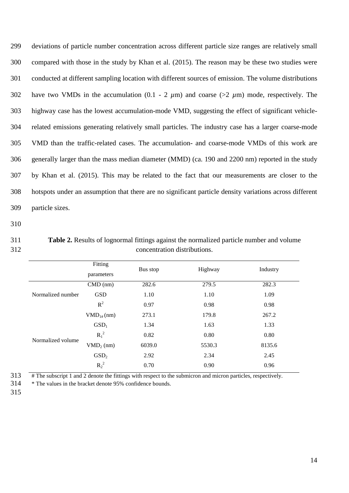deviations of particle number concentration across different particle size ranges are relatively small compared with those in the study by Khan et al. (2015). The reason may be these two studies were conducted at different sampling location with different sources of emission. The volume distributions have two VMDs in the accumulation (0.1 - 2 *µ*m) and coarse (>2 *µ*m) mode, respectively. The highway case has the lowest accumulation-mode VMD, suggesting the effect of significant vehicle- related emissions generating relatively small particles. The industry case has a larger coarse-mode VMD than the traffic-related cases. The accumulation- and coarse-mode VMDs of this work are generally larger than the mass median diameter (MMD) (ca. 190 and 2200 nm) reported in the study by Khan et al. (2015). This may be related to the fact that our measurements are closer to the hotspots under an assumption that there are no significant particle density variations across different particle sizes.

- 310
- 

311 **Table 2.** Results of lognormal fittings against the normalized particle number and volume 312 concentration distributions.

|                   | Fitting<br>parameters | Bus stop | Highway | Industry |
|-------------------|-----------------------|----------|---------|----------|
|                   | $CMD$ (nm)            | 282.6    | 279.5   | 282.3    |
| Normalized number | <b>GSD</b>            | 1.10     | 1.10    | 1.09     |
|                   | $R^2$                 | 0.97     | 0.98    | 0.98     |
|                   | $VMD_{1#}(nm)$        | 273.1    | 179.8   | 267.2    |
|                   | GSD <sub>1</sub>      | 1.34     | 1.63    | 1.33     |
| Normalized volume | $R_1^2$               | 0.82     | 0.80    | 0.80     |
|                   | $VMD2$ (nm)           | 6039.0   | 5530.3  | 8135.6   |
|                   | GSD <sub>2</sub>      | 2.92     | 2.34    | 2.45     |
|                   | $R_2^2$               | 0.70     | 0.90    | 0.96     |

 $313$   $\overline{a}$   $\overline{b}$   $\overline{c}$  The subscript 1 and 2 denote the fittings with respect to the submicron and micron particles, respectively.

314 \* The values in the bracket denote 95% confidence bounds.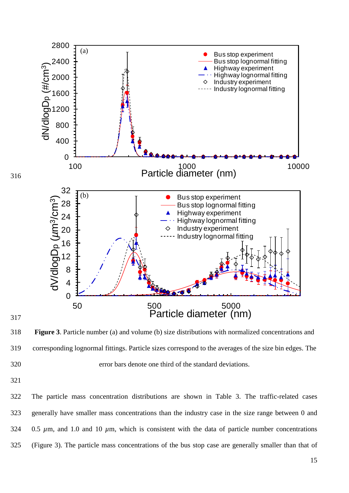

 **Figure 3**. Particle number (a) and volume (b) size distributions with normalized concentrations and corresponding lognormal fittings. Particle sizes correspond to the averages of the size bin edges. The error bars denote one third of the standard deviations.

 The particle mass concentration distributions are shown in Table 3. The traffic-related cases generally have smaller mass concentrations than the industry case in the size range between 0 and 0.5 *µ*m, and 1.0 and 10 *µ*m, which is consistent with the data of particle number concentrations (Figure 3). The particle mass concentrations of the bus stop case are generally smaller than that of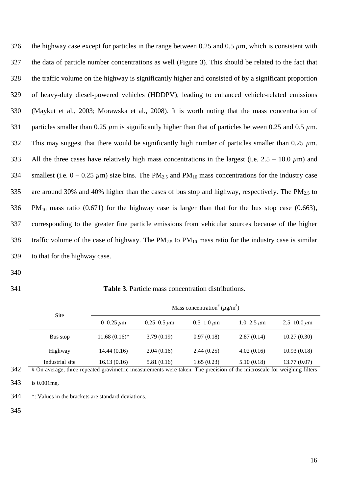| 326 | the highway case except for particles in the range between 0.25 and 0.5 $\mu$ m, which is consistent with                         |
|-----|-----------------------------------------------------------------------------------------------------------------------------------|
| 327 | the data of particle number concentrations as well (Figure 3). This should be related to the fact that                            |
| 328 | the traffic volume on the highway is significantly higher and consisted of by a significant proportion                            |
| 329 | of heavy-duty diesel-powered vehicles (HDDPV), leading to enhanced vehicle-related emissions                                      |
| 330 | (Maykut et al., 2003; Morawska et al., 2008). It is worth noting that the mass concentration of                                   |
| 331 | particles smaller than 0.25 $\mu$ m is significantly higher than that of particles between 0.25 and 0.5 $\mu$ m.                  |
| 332 | This may suggest that there would be significantly high number of particles smaller than 0.25 $\mu$ m.                            |
| 333 | All the three cases have relatively high mass concentrations in the largest (i.e. $2.5 - 10.0 \mu m$ ) and                        |
| 334 | smallest (i.e. $0 - 0.25 \mu m$ ) size bins. The PM <sub>2.5</sub> and PM <sub>10</sub> mass concentrations for the industry case |
| 335 | are around 30% and 40% higher than the cases of bus stop and highway, respectively. The $PM_{2.5}$ to                             |
| 336 | $PM_{10}$ mass ratio (0.671) for the highway case is larger than that for the bus stop case (0.663),                              |
| 337 | corresponding to the greater fine particle emissions from vehicular sources because of the higher                                 |
| 338 | traffic volume of the case of highway. The $PM_{2.5}$ to $PM_{10}$ mass ratio for the industry case is similar                    |
| 339 | to that for the highway case.                                                                                                     |

- 
- 

| 341 | <b>Table 3.</b> Particle mass concentration distributions. |
|-----|------------------------------------------------------------|
|     |                                                            |

| Site            |                 |                    | Mass concentration <sup>#</sup> ( $\mu$ g/m <sup>3</sup> ) |                   |                      |
|-----------------|-----------------|--------------------|------------------------------------------------------------|-------------------|----------------------|
|                 | 0–0.25 $\mu$ m  | $0.25 - 0.5 \mu m$ | $0.5 - 1.0 \,\mu m$                                        | $1.0 - 2.5 \mu m$ | $2.5 - 10.0 \,\mu m$ |
| Bus stop        | $11.68(0.16)^*$ | 3.79(0.19)         | 0.97(0.18)                                                 | 2.87(0.14)        | 10.27(0.30)          |
| Highway         | 14.44(0.16)     | 2.04(0.16)         | 2.44(0.25)                                                 | 4.02(0.16)        | 10.93(0.18)          |
| Industrial site | 16.13(0.16)     | 5.81(0.16)         | 1.65(0.23)                                                 | 5.10(0.18)        | 13.77(0.07)          |

# On average, three repeated gravimetric measurements were taken. The precision of the microscale for weighing filters

is 0.001mg.

\*: Values in the brackets are standard deviations.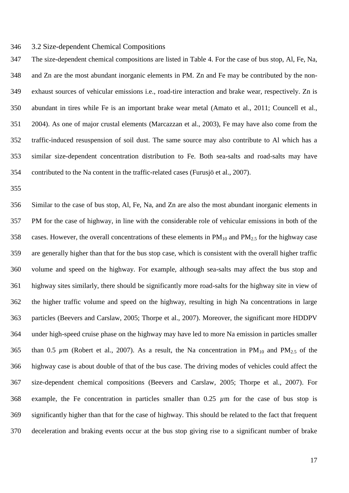#### 3.2 Size-dependent Chemical Compositions

 The size-dependent chemical compositions are listed in Table 4. For the case of bus stop, Al, Fe, Na, and Zn are the most abundant inorganic elements in PM. Zn and Fe may be contributed by the non- exhaust sources of vehicular emissions i.e., road-tire interaction and brake wear, respectively. Zn is abundant in tires while Fe is an important brake wear metal (Amato et al., 2011; Councell et al., 2004). As one of major crustal elements (Marcazzan et al., 2003), Fe may have also come from the traffic-induced resuspension of soil dust. The same source may also contribute to Al which has a similar size-dependent concentration distribution to Fe. Both sea-salts and road-salts may have contributed to the Na content in the traffic-related cases (Furusjö et al., 2007).

 Similar to the case of bus stop, Al, Fe, Na, and Zn are also the most abundant inorganic elements in PM for the case of highway, in line with the considerable role of vehicular emissions in both of the 358 cases. However, the overall concentrations of these elements in  $PM_{10}$  and  $PM_{2.5}$  for the highway case are generally higher than that for the bus stop case, which is consistent with the overall higher traffic volume and speed on the highway. For example, although sea-salts may affect the bus stop and highway sites similarly, there should be significantly more road-salts for the highway site in view of the higher traffic volume and speed on the highway, resulting in high Na concentrations in large particles (Beevers and Carslaw, 2005; Thorpe et al., 2007). Moreover, the significant more HDDPV under high-speed cruise phase on the highway may have led to more Na emission in particles smaller 365 than 0.5  $\mu$ m (Robert et al., 2007). As a result, the Na concentration in PM<sub>10</sub> and PM<sub>2.5</sub> of the highway case is about double of that of the bus case. The driving modes of vehicles could affect the size-dependent chemical compositions (Beevers and Carslaw, 2005; Thorpe et al., 2007). For example, the Fe concentration in particles smaller than 0.25 *µ*m for the case of bus stop is significantly higher than that for the case of highway. This should be related to the fact that frequent deceleration and braking events occur at the bus stop giving rise to a significant number of brake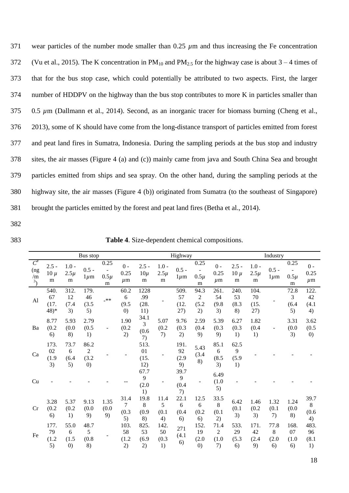wear particles of the number mode smaller than 0.25 *µ*m and thus increasing the Fe concentration 372 (Vu et al., 2015). The K concentration in  $PM_{10}$  and  $PM_{2.5}$  for the highway case is about  $3-4$  times of that for the bus stop case, which could potentially be attributed to two aspects. First, the larger number of HDDPV on the highway than the bus stop contributes to more K in particles smaller than 375 0.5  $\mu$ m (Dallmann et al., 2014). Second, as an inorganic tracer for biomass burning (Cheng et al., 2013), some of K should have come from the long-distance transport of particles emitted from forest and peat land fires in Sumatra, Indonesia. During the sampling periods at the bus stop and industry sites, the air masses (Figure 4 (a) and (c)) mainly came from java and South China Sea and brought particles emitted from ships and sea spray. On the other hand, during the sampling periods at the highway site, the air masses (Figure 4 (b)) originated from Sumatra (to the southeast of Singapore) brought the particles emitted by the forest and peat land fires (Betha et al., 2014).

- 382
- 

383 **Table 4**. Size-dependent chemical compositions.

|                                         |                               |                           | Bus stop                               |                              |                                       | Highway                    |                           |                           |                                          | Industry                              |                           |                           |                          |                                                   |                           |
|-----------------------------------------|-------------------------------|---------------------------|----------------------------------------|------------------------------|---------------------------------------|----------------------------|---------------------------|---------------------------|------------------------------------------|---------------------------------------|---------------------------|---------------------------|--------------------------|---------------------------------------------------|---------------------------|
| $C^{#}$<br>(ng<br>/m<br>$3\overline{)}$ | $2.5 -$<br>$10 \mu$<br>m      | $1.0 -$<br>$2.5\mu$<br>m  | $0.5 -$<br>$1 \mu m$                   | 0.25<br>$0.5\mu$<br>m        | $0 -$<br>0.25<br>$\mu$ m              | $2.5 -$<br>$10\mu$<br>m    | $1.0 -$<br>$2.5\mu$<br>m  | $0.5 -$<br>$1 \mu m$      | 0.25<br>$0.5\mu$<br>m                    | $0 -$<br>0.25<br>$\mu$ m              | $2.5 -$<br>$10 \mu$<br>m  | $1.0 -$<br>$2.5\mu$<br>m  | $0.5 -$<br>$1 \mu m$     | 0.25<br>$\overline{\phantom{a}}$<br>$0.5\mu$<br>m | $0 -$<br>0.25<br>$\mu$ m  |
| A <sub>1</sub>                          | 540.<br>67<br>(17.<br>$(48)*$ | 312.<br>12<br>(7.4)<br>3) | 179.<br>46<br>(3.5)<br>5)              | $***$                        | 60.2<br>6<br>(9.5)<br>(0)             | 1228<br>.99<br>(28.<br>11) |                           | 509.<br>57<br>(12.<br>27) | 94.3<br>$\overline{c}$<br>(5.2)<br>2)    | 261.<br>54<br>(9.8)<br>3)             | 240.<br>53<br>(8.3)<br>8) | 104.<br>70<br>(15.<br>27) |                          | 72.8<br>$\mathfrak{Z}$<br>(6.4)<br>5)             | 122.<br>42<br>(4.1)<br>4) |
| Ba                                      | 8.77<br>(0.2)<br>6)           | 5.93<br>(0.0)<br>8)       | 2.79<br>(0.5)<br>1)                    | $\qquad \qquad \blacksquare$ | 1.90<br>(0.2)<br>2)                   | 34.1<br>3<br>(0.6)<br>7)   | 5.07<br>(0.2)<br>7)       | 9.76<br>(0.3)<br>2)       | 2.59<br>(0.4)<br>9)                      | 5.39<br>(0.3)<br>9)                   | 6.27<br>(0.3)<br>1)       | 1.82<br>(0.4)<br>1)       | ÷,                       | 3.31<br>(0.0)<br>3)                               | 3.62<br>(0.5)<br>(0)      |
| Ca                                      | 173.<br>02<br>(1.9)<br>3)     | 73.7<br>6<br>(6.4)<br>5)  | 86.2<br>$\overline{2}$<br>(3.2)<br>(0) |                              |                                       | 513.<br>01<br>(15.<br>12)  |                           | 191.<br>92<br>(2.9)<br>9) | 5.43<br>(3.4)<br>8)                      | 85.1<br>$6\,$<br>(8.5)<br>3)          | 62.5<br>9<br>(5.9)<br>1)  |                           |                          |                                                   |                           |
| Cu                                      |                               |                           |                                        |                              |                                       | 67.7<br>9<br>(2.0)<br>1)   |                           | 39.7<br>9<br>(0.4)<br>7)  |                                          | 6.49<br>(1.0)<br>5)                   |                           |                           |                          |                                                   |                           |
| Cr                                      | 3.28<br>(0.2)<br>6)           | 5.37<br>(0.2)<br>1)       | 9.13<br>(0.0)<br>9)                    | 1.35<br>(0.0)<br>9)          | 31.4<br>$\overline{7}$<br>(0.3)<br>5) | 19.8<br>8<br>(0.9)<br>8)   | 11.4<br>5<br>(0.1)<br>4)  | 22.1<br>6<br>(0.4)<br>6)  | 12.5<br>6<br>(0.2)<br>6)                 | 33.5<br>8<br>(0.1)<br>2)              | 6.42<br>(0.1)<br>3)       | 1.46<br>(0.2)<br>3)       | 1.32<br>(0.1)<br>7)      | 1.24<br>(0.0)<br>8)                               | 39.7<br>8<br>(0.6)<br>4)  |
| Fe                                      | 177.<br>79<br>(1.2)<br>5)     | 55.0<br>6<br>(1.5)<br>(0) | 48.7<br>5<br>(0.8)<br>8)               |                              | 103.<br>58<br>(1.2)<br>2)             | 825.<br>53<br>(6.9)<br>2)  | 142.<br>50<br>(0.3)<br>1) | 271<br>(4.1)<br>6)        | 152.<br>19<br>(2.0)<br>$\left( 0\right)$ | 71.4<br>$\overline{2}$<br>(1.0)<br>7) | 533.<br>29<br>(5.3)<br>6) | 171.<br>42<br>(2.4)<br>9) | 77.8<br>8<br>(2.0)<br>6) | 168.<br>07<br>(1.0)<br>6)                         | 483.<br>96<br>(8.1)<br>1) |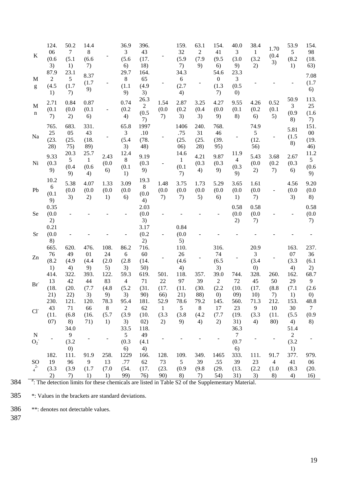|     | $\bf K$                                                                                                                                                                                                                                                                                                                                                                                                                             | 124.<br>06<br>(0.6)<br>3)         | 50.2<br>$\tau$<br>(5.1)<br>1)                                                                           | 14.4<br>$8\,$<br>(6.6)<br>7)        |                                | 36.9<br>$\mathfrak{Z}$<br>(5.6)<br>6)         | 396.<br>43<br>(17.<br>18)         |                                     | 159.<br>32<br>(5.9)<br>7)           | 63.1<br>$\sqrt{2}$<br>(7.9)<br>9) | 154.<br>41<br>(9.5)<br>6)                            | 40.0<br>$\mathfrak{Z}$<br>(3.0)<br>9)                | 38.4<br>$\mathbf{1}$<br>(3.2)<br>2)                  | 1.70<br>(0.4)<br>3)                       | 53.9<br>5<br>(8.2)<br>1)          | 154.<br>98<br>(18.<br>63)               |
|-----|-------------------------------------------------------------------------------------------------------------------------------------------------------------------------------------------------------------------------------------------------------------------------------------------------------------------------------------------------------------------------------------------------------------------------------------|-----------------------------------|---------------------------------------------------------------------------------------------------------|-------------------------------------|--------------------------------|-----------------------------------------------|-----------------------------------|-------------------------------------|-------------------------------------|-----------------------------------|------------------------------------------------------|------------------------------------------------------|------------------------------------------------------|-------------------------------------------|-----------------------------------|-----------------------------------------|
|     | M<br>$\mathbf{g}% _{T}=\mathbf{g}_{T}=\mathbf{g}_{T}=\mathbf{g}_{T}=\mathbf{g}_{T}=\mathbf{g}_{T}=\mathbf{g}_{T}=\mathbf{g}_{T}=\mathbf{g}_{T}=\mathbf{g}_{T}=\mathbf{g}_{T}=\mathbf{g}_{T}=\mathbf{g}_{T}=\mathbf{g}_{T}=\mathbf{g}_{T}=\mathbf{g}_{T}=\mathbf{g}_{T}=\mathbf{g}_{T}=\mathbf{g}_{T}=\mathbf{g}_{T}=\mathbf{g}_{T}=\mathbf{g}_{T}=\mathbf{g}_{T}=\mathbf{g}_{T}=\mathbf{g}_{T}=\mathbf{g}_{T}=\mathbf{g}_{T}=\math$ | 87.9<br>$\sqrt{2}$<br>(4.5)<br>1) | 23.1<br>$\mathfrak{S}$<br>(1.7)<br>7)                                                                   | 8.37<br>(1.7)<br>9)                 |                                | 29.7<br>$\,8\,$<br>(1.1)<br>9)                | 164.<br>65<br>(4.9)<br>3)         |                                     | 34.3<br>6<br>(2.7)<br>4)            |                                   | 54.6<br>$\boldsymbol{0}$<br>(1.3)<br>7)              | 23.3<br>$\mathfrak{Z}$<br>(0.5)<br>$\left( 0\right)$ |                                                      |                                           |                                   | 7.08<br>(1.7)<br>6)                     |
|     | M<br>n                                                                                                                                                                                                                                                                                                                                                                                                                              | 2.71<br>(0.1)<br>7)               | 0.84<br>(0.0)<br>2)                                                                                     | 0.87<br>(0.1)<br>6)                 | $\overline{\phantom{a}}$       | 0.74<br>(0.2)<br>4)                           | 26.3<br>$\sqrt{2}$<br>(0.5)<br>7) | 1.54<br>(0.0)<br>7)                 | 2.87<br>(0.2)<br>3)                 | 3.25<br>(0.4)<br>3)               | 4.27<br>(0.0)<br>9)                                  | 9.55<br>(0.1)<br>8)                                  | 4.26<br>(0.2)<br>6)                                  | 0.52<br>(0.1)<br>5)                       | 50.9<br>3<br>(0.9)<br>8)          | 113.<br>25<br>(1.6)<br>7)               |
|     | Na                                                                                                                                                                                                                                                                                                                                                                                                                                  | 765.<br>$25\,$<br>(23.<br>28)     | 683.<br>05<br>(25.<br>75)                                                                               | 331.<br>43<br>(18.<br>89)           |                                | 65.8<br>$\mathfrak{Z}$<br>(5.4)<br>3)         | 1997<br>.10<br>(78.<br>48)        |                                     | 1406<br>.75<br>(25.<br>(06)         | 240.<br>31<br>(25.<br>28)         | 768.<br>46<br>(39.<br>95)                            |                                                      | 74.9<br>5<br>(12.<br>56)                             |                                           | 5.81<br>(1.5)<br>8)               | 151.<br>${\bf 00}$<br>(19.<br>46)       |
|     | Ni                                                                                                                                                                                                                                                                                                                                                                                                                                  | 9.33<br>(0.3)<br>9)               | 20.3<br>$\mathfrak{S}$<br>(0.4)<br>9)                                                                   | 25.7<br>$\mathbf{1}$<br>(0.6)<br>4) | 2.43<br>(0.0)<br>6)            | 12.4<br>$8\phantom{.}$<br>(0.1)<br>1)         | 9.19<br>(0.3)<br>9)               |                                     | 14.6<br>$\mathbf{1}$<br>(0.1)<br>7) | 4.21<br>(0.3)<br>4)               | 9.87<br>(0.3)<br>9)                                  | 11.9<br>$\overline{4}$<br>(0.3)<br>9)                | 5.43<br>(0.0)<br>2)                                  | 3.68<br>(0.2)<br>7)                       | 2.67<br>(0.3)<br>6)               | 11.2<br>5 <sup>5</sup><br>(0.6)<br>9)   |
|     | Pb                                                                                                                                                                                                                                                                                                                                                                                                                                  | 10.2<br>6<br>(0.1)<br>9)          | 5.38<br>(0.0)<br>3)                                                                                     | 4.07<br>(0.0)<br>2)                 | 1.33<br>(0.0)<br>1)            | 3.09<br>(0.0)<br>6)                           | 19.3<br>$\,8\,$<br>(0.0)<br>4)    | 1.48<br>(0.0)<br>7)                 | 3.75<br>(0.0)<br>7)                 | 1.73<br>(0.0)<br>5)               | 5.29<br>(0.0)<br>6)                                  | 3.65<br>(0.0)<br>1)                                  | 1.61<br>(0.0)<br>7)                                  | $\blacksquare$                            | 4.56<br>(0.0)<br>3)               | 9.20<br>(0.0)<br>8)                     |
|     | Se                                                                                                                                                                                                                                                                                                                                                                                                                                  | 0.35<br>(0.0)<br>2)               |                                                                                                         |                                     |                                |                                               | 2.03<br>(0.0)<br>3)               |                                     |                                     |                                   |                                                      | 0.58<br>(0.0)<br>2)                                  | 0.58<br>(0.0)<br>7)                                  |                                           |                                   | 0.58<br>(0.0)<br>7)                     |
|     | <b>Sr</b>                                                                                                                                                                                                                                                                                                                                                                                                                           | 0.21<br>(0.0)<br>8)               |                                                                                                         |                                     |                                |                                               | 3.17<br>(0.2)<br>2)               |                                     | 0.84<br>(0.0)<br>5)                 |                                   |                                                      |                                                      |                                                      |                                           |                                   |                                         |
|     | Zn                                                                                                                                                                                                                                                                                                                                                                                                                                  | 665.<br>76<br>(8.2)<br>1)         | 620.<br>49<br>(4.9)<br>4)                                                                               | 476.<br>01<br>(4.4)<br>9)           | 108.<br>24<br>(2.0)<br>5)      | 86.2<br>6<br>(2.8)<br>3)                      | 716.<br>60<br>(14.<br>50)         |                                     | 110.<br>26<br>(4.6)<br>4)           |                                   | 316.<br>74<br>(6.5)<br>3)                            |                                                      | 20.9<br>$\overline{3}$<br>(3.4)<br>$\left( 0\right)$ |                                           | 163.<br>07<br>(3.3)<br>4)         | 237.<br>36<br>(6.1)<br>2)               |
|     | Br <sub>1</sub>                                                                                                                                                                                                                                                                                                                                                                                                                     | 414.<br>13<br>(18.<br>21)         | 322.<br>42<br>(20.<br>22)                                                                               | 393.<br>44<br>(7.7)<br>3)           | 122.<br>83<br>(4.8)<br>9)      | 59.3<br>$\overline{4}$<br>(5.2)<br>3)         | 619.<br>71<br>(31.<br>90)         | 501.<br>$22\,$<br>(17.<br>66)       | 118.<br>97<br>(11.<br>21)           | 357.<br>39<br>(30.<br>88)         | 39.0<br>$\overline{2}$<br>(2.2)<br>$\left( 0\right)$ | 744.<br>72<br>(10.<br>09)                            | 328.<br>45<br>(17.<br>10)                            | 260.<br>50<br>(8.8)<br>7)                 | 162.<br>29<br>(7.1)<br>1)         | 68.7<br>9<br>(2.6)<br>$\left( 0\right)$ |
|     | Cl <sup>2</sup>                                                                                                                                                                                                                                                                                                                                                                                                                     | 230.<br>43<br>(11.<br>(07)        | 121.<br>71<br>(6.8)<br>8)<br>34.0                                                                       | 120.<br>66<br>(16.<br>71)           | 78.3<br>$\,8\,$<br>(5.7)<br>1) | 95.4<br>$\overline{2}$<br>(3.9)<br>3)<br>33.5 | 181.<br>62<br>(10.<br>02)<br>118. | 52.9<br>$\mathbf{1}$<br>(3.3)<br>2) | 78.6<br>$\sqrt{5}$<br>(3.8)<br>9)   | 79.2<br>$\,8\,$<br>(4.2)<br>4)    | 145.<br>17<br>(7.7)<br>2)                            | 560.<br>23<br>(19.<br>31)<br>36.3                    | 71.3<br>9<br>(3.3)<br>4)                             | 212.<br>$10\,$<br>(11.<br>80)             | 153.<br>30<br>(5.5)<br>4)<br>51.4 | 48.8<br>$\tau$<br>(0.9)<br>8)           |
|     | $\mathbf N$<br>$O_2^-$                                                                                                                                                                                                                                                                                                                                                                                                              |                                   | 9<br>(3.2)                                                                                              |                                     |                                | 5<br>(0.3)                                    | 49<br>(4.1)                       |                                     |                                     |                                   |                                                      | $\overline{7}$<br>(0.7)                              |                                                      |                                           | $\overline{c}$<br>(3.2)           |                                         |
|     | SO<br>$4^{2}$                                                                                                                                                                                                                                                                                                                                                                                                                       | 182.<br>19<br>(3.3)<br>2)         | $\left( 0\right)$<br>111.<br>96<br>(3.9)                                                                | 91.9<br>9<br>(1.7)                  | 258.<br>13<br>(7.0)            | 6)<br>1229<br>.77<br>(54.<br>99)              | 4)<br>166.<br>62<br>(17.<br>76)   | 128.<br>73<br>(23.<br>90)           | 109.<br>$\sqrt{5}$<br>(0.9)         | 349.<br>39<br>(9.8)               | 1465<br>.55<br>(29.<br>54)                           | 6)<br>333.<br>39<br>(13.                             | 111.<br>23<br>(2.2)                                  | 91.7<br>$\overline{\mathcal{A}}$<br>(1.0) | 1)<br>377.<br>41<br>(8.3)         | 979.<br>06<br>(20.                      |
| 384 |                                                                                                                                                                                                                                                                                                                                                                                                                                     |                                   | 7)<br>#: The detection limits for these chemicals are listed in Table S2 of the Supplementary Material. | 1)                                  | 1)                             |                                               |                                   |                                     | 8)                                  | 7)                                |                                                      | 31)                                                  | 3)                                                   | 8)                                        | 4)                                | 16)                                     |

385 \*: Values in the brackets are standard deviations.

386 \*\*: denotes not detectable values.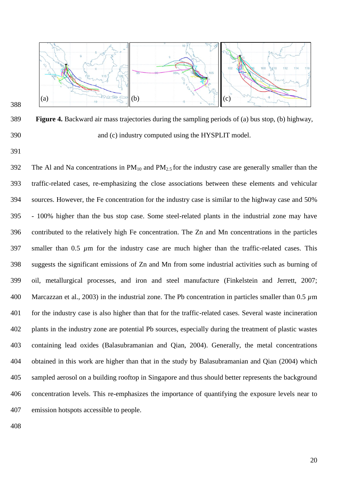

 **Figure 4.** Backward air mass trajectories during the sampling periods of (a) bus stop, (b) highway, and (c) industry computed using the HYSPLIT model.

392 The Al and Na concentrations in  $PM_{10}$  and  $PM_{2.5}$  for the industry case are generally smaller than the traffic-related cases, re-emphasizing the close associations between these elements and vehicular sources. However, the Fe concentration for the industry case is similar to the highway case and 50% - 100% higher than the bus stop case. Some steel-related plants in the industrial zone may have contributed to the relatively high Fe concentration. The Zn and Mn concentrations in the particles 397 smaller than 0.5  $\mu$ m for the industry case are much higher than the traffic-related cases. This suggests the significant emissions of Zn and Mn from some industrial activities such as burning of oil, metallurgical processes, and iron and steel manufacture (Finkelstein and Jerrett, 2007; Marcazzan et al., 2003) in the industrial zone. The Pb concentration in particles smaller than 0.5 *µ*m for the industry case is also higher than that for the traffic-related cases. Several waste incineration plants in the industry zone are potential Pb sources, especially during the treatment of plastic wastes containing lead oxides (Balasubramanian and Qian, 2004). Generally, the metal concentrations obtained in this work are higher than that in the study by Balasubramanian and Qian (2004) which sampled aerosol on a building rooftop in Singapore and thus should better represents the background concentration levels. This re-emphasizes the importance of quantifying the exposure levels near to emission hotspots accessible to people.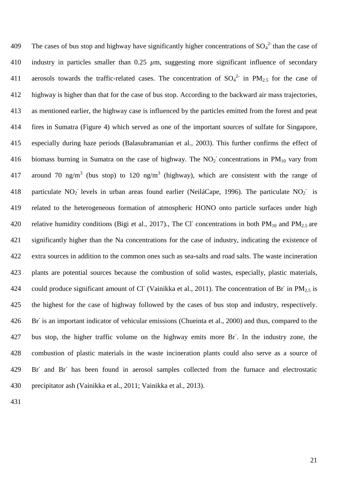409 The cases of bus stop and highway have significantly higher concentrations of  ${SO_4}^2$  than the case of 410 industry in particles smaller than 0.25 *µ*m, suggesting more significant influence of secondary 411 aerosols towards the traffic-related cases. The concentration of  $SO_4^2$  in PM<sub>2.5</sub> for the case of 412 highway is higher than that for the case of bus stop. According to the backward air mass trajectories, 413 as mentioned earlier, the highway case is influenced by the particles emitted from the forest and peat 414 fires in Sumatra (Figure 4) which served as one of the important sources of sulfate for Singapore, 415 especially during haze periods (Balasubramanian et al., 2003). This further confirms the effect of 416 biomass burning in Sumatra on the case of highway. The  $NO<sub>2</sub>$  concentrations in PM<sub>10</sub> vary from 417 around 70 ng/m<sup>3</sup> (bus stop) to 120 ng/m<sup>3</sup> (highway), which are consistent with the range of 418 particulate NO<sub>2</sub> levels in urban areas found earlier (NeiláCape, 1996). The particulate NO<sub>2</sub> is 419 related to the heterogeneous formation of atmospheric HONO onto particle surfaces under high 420 relative humidity conditions (Bigi et al., 2017)., The Cl concentrations in both  $PM_{10}$  and  $PM_{2.5}$  are 421 significantly higher than the Na concentrations for the case of industry, indicating the existence of 422 extra sources in addition to the common ones such as sea-salts and road salts. The waste incineration 423 plants are potential sources because the combustion of solid wastes, especially, plastic materials, 424 could produce significant amount of Cl (Vainikka et al., 2011). The concentration of Br in  $PM_{2.5}$  is 425 the highest for the case of highway followed by the cases of bus stop and industry, respectively. 426 Br is an important indicator of vehicular emissions (Chueinta et al., 2000) and thus, compared to the 427 bus stop, the higher traffic volume on the highway emits more Br<sup>-</sup>. In the industry zone, the 428 combustion of plastic materials in the waste incineration plants could also serve as a source of 429 Br<sup>-</sup> and Br<sup>-</sup> has been found in aerosol samples collected from the furnace and electrostatic 430 precipitator ash (Vainikka et al., 2011; Vainikka et al., 2013).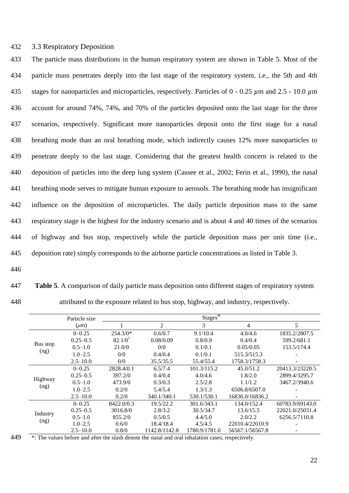## 432 3.3 Respiratory Deposition

 The particle mass distributions in the human respiratory system are shown in Table 5. Most of the particle mass penetrates deeply into the last stage of the respiratory system, i.e., the 5th and 4th stages for nanoparticles and microparticles, respectively. Particles of 0 - 0.25 *µ*m and 2.5 - 10.0 *µ*m account for around 74%, 74%, and 70% of the particles deposited onto the last stage for the three scenarios, respectively. Significant more nanoparticles deposit onto the first stage for a nasal breathing mode than an oral breathing mode, which indirectly causes 12% more nanoparticles to penetrate deeply to the last stage. Considering that the greatest health concern is related to the deposition of particles into the deep lung system (Cassee et al., 2002; Ferin et al., 1990), the nasal breathing mode serves to mitigate human exposure to aerosols. The breathing mode has insignificant influence on the deposition of microparticles. The daily particle deposition mass to the same respiratory stage is the highest for the industry scenario and is about 4 and 40 times of the scenarios of highway and bus stop, respectively while the particle deposition mass per unit time (i.e., deposition rate) simply corresponds to the airborne particle concentrations as listed in Table 3.

- 446
- 

447 **Table 5**. A comparison of daily particle mass deposition onto different stages of respiratory system 448 attributed to the exposure related to bus stop, highway, and industry, respectively.

|          | Particle size |                    |                | Stages $\overline{\mathbf{x}}$ |                 |                 |
|----------|---------------|--------------------|----------------|--------------------------------|-----------------|-----------------|
|          | $(\mu m)$     |                    | $\overline{c}$ | 3                              | 4               | 5               |
|          | $0 - 0.25$    | $254.3/0*$         | 0.6/0.7        | 9.1/10.4                       | 4.0/4.6         | 1835.2/2807.5   |
|          | $0.25 - 0.5$  | $82.1/0^{\dagger}$ | 0.08/0.09      | 0.8/0.9                        | 0.4/0.4         | 599.2/681.1     |
| Bus stop | $0.5 - 1.0$   | 21.0/0             | 0/0            | 0.1/0.1                        | 0.05/0.05       | 153.5/174.4     |
| (ng)     | $1.0 - 2.5$   | 0/0                | 0.4/0.4        | 0.1/0.1                        | 515.3/515.3     |                 |
|          | $2.5 - 10.0$  | 0/0                | 35.5/35.5      | 55.4/55.4                      | 1758.3/1758.3   |                 |
|          | $0 - 0.25$    | 2828.4/0.1         | 6.5/7.4        | 101.3/115.2                    | 45.0/51.2       | 20413.3/23220.5 |
|          | $0.25 - 0.5$  | 397.2/0            | 0.4/0.4        | 4.0/4.6                        | 1.8/2.0         | 2899.4/3295.7   |
| Highway  | $0.5 - 1.0$   | 473.9/0            | 0.3/0.3        | 2.5/2.8                        | 1.1/1.2         | 3467.2/3940.6   |
| (ng)     | $1.0 - 2.5$   | 0.2/0              | 5.4/5.4        | 1.3/1.3                        | 6506.8/6507.0   |                 |
|          | $2.5 - 10.0$  | 0.2/0              | 340.1/340.1    | 530.1/530.1                    | 16836.0/16836.2 |                 |
|          | $0 - 0.25$    | 8422.0/0.3         | 19.5/22.2      | 301.6/343.1                    | 134.0/152.4     | 60783.9/69143.0 |
| Industry | $0.25 - 0.5$  | 3016.8/0           | 2.8/3.2        | 30.5/34.7                      | 13.6/15.5       | 22021.0/25031.4 |
|          | $0.5 - 1.0$   | 855.2/0            | 0.5/0.5        | 4.4/5.0                        | 2.0/2.2         | 6256.5/7110.8   |
| (ng)     | $1.0 - 2.5$   | 0.6/0              | 18.4/18.4      | 4.5/4.5                        | 22010.4/22010.9 |                 |
|          | $2.5 - 10.0$  | 0.8/0              | 1142.8/1142.8  | 1780.9/1781.0                  | 56567.1/56567.8 |                 |

 $449$  \*: The values before and after the slash denote the nasal and oral inhalation cases, respectively.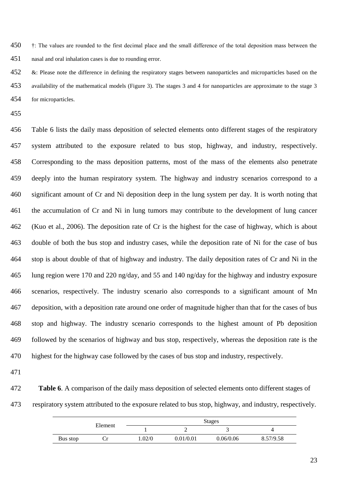†: The values are rounded to the first decimal place and the small difference of the total deposition mass between the nasal and oral inhalation cases is due to rounding error.

 $452 \&$ : Please note the difference in defining the respiratory stages between nanoparticles and microparticles based on the availability of the mathematical models (Figure 3). The stages 3 and 4 for nanoparticles are approximate to the stage 3 for microparticles.

 Table 6 lists the daily mass deposition of selected elements onto different stages of the respiratory system attributed to the exposure related to bus stop, highway, and industry, respectively. Corresponding to the mass deposition patterns, most of the mass of the elements also penetrate deeply into the human respiratory system. The highway and industry scenarios correspond to a significant amount of Cr and Ni deposition deep in the lung system per day. It is worth noting that the accumulation of Cr and Ni in lung tumors may contribute to the development of lung cancer (Kuo et al., 2006). The deposition rate of Cr is the highest for the case of highway, which is about double of both the bus stop and industry cases, while the deposition rate of Ni for the case of bus stop is about double of that of highway and industry. The daily deposition rates of Cr and Ni in the lung region were 170 and 220 ng/day, and 55 and 140 ng/day for the highway and industry exposure scenarios, respectively. The industry scenario also corresponds to a significant amount of Mn deposition, with a deposition rate around one order of magnitude higher than that for the cases of bus stop and highway. The industry scenario corresponds to the highest amount of Pb deposition followed by the scenarios of highway and bus stop, respectively, whereas the deposition rate is the highest for the highway case followed by the cases of bus stop and industry, respectively.

- 
- **Table 6**. A comparison of the daily mass deposition of selected elements onto different stages of respiratory system attributed to the exposure related to bus stop, highway, and industry, respectively.

|          | Element              | <b>Stages</b> |           |           |           |  |  |
|----------|----------------------|---------------|-----------|-----------|-----------|--|--|
|          |                      |               | -         |           |           |  |  |
| Bus stop | r he<br>$\mathbf{L}$ | .02/0         | 0.01/0.01 | 0.06/0.06 | 8.57/9.58 |  |  |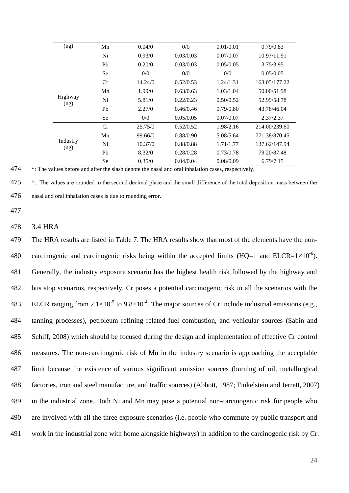| (ng)             | Mn        | 0.04/0  | 0/0       | 0.01/0.01 | 0.79/0.83     |
|------------------|-----------|---------|-----------|-----------|---------------|
|                  | Ni        | 0.93/0  | 0.03/0.03 | 0.07/0.07 | 10.97/11.91   |
|                  | Pb        | 0.20/0  | 0.03/0.03 | 0.05/0.05 | 3.75/3.95     |
|                  | <b>Se</b> | 0/0     | 0/0       | 0/0       | 0.05/0.05     |
|                  | Cr        | 14.24/0 | 0.52/0.53 | 1.24/1.31 | 163.05/177.22 |
|                  | Mn        | 1.99/0  | 0.63/0.63 | 1.03/1.04 | 50.00/51.98   |
| Highway<br>(ng)  | Ni        | 5.81/0  | 0.22/0.23 | 0.50/0.52 | 52.99/58.78   |
|                  | Pb        | 2.27/0  | 0.46/0.46 | 0.79/0.80 | 43.78/46.04   |
|                  | <b>Se</b> | 0/0     | 0.05/0.05 | 0.07/0.07 | 2.37/2.37     |
|                  | Cr        | 25.75/0 | 0.52/0.52 | 1.98/2.16 | 214.00/239.60 |
|                  | Mn        | 99.66/0 | 0.88/0.90 | 5.08/5.64 | 771.38/870.45 |
| Industry<br>(ng) | Ni        | 10.37/0 | 0.88/0.88 | 1.71/1.77 | 137.62/147.94 |
|                  | Pb        | 8.32/0  | 0.28/0.28 | 0.73/0.78 | 79.20/87.48   |
|                  | Se        | 0.35/0  | 0.04/0.04 | 0.08/0.09 | 6.79/7.15     |

474  $*$ : The values before and after the slash denote the nasal and oral inhalation cases, respectively.

475 †: The values are rounded to the second decimal place and the small difference of the total deposition mass between the 476 nasal and oral inhalation cases is due to rounding error.

477

#### 478 3.4 HRA

 The HRA results are listed in Table 7. The HRA results show that most of the elements have the non-480 carcinogenic and carcinogenic risks being within the accepted limits (HQ=1 and ELCR=1×10<sup>-6</sup>). Generally, the industry exposure scenario has the highest health risk followed by the highway and bus stop scenarios, respectively. Cr poses a potential carcinogenic risk in all the scenarios with the 483 ELCR ranging from  $2.1 \times 10^{-5}$  to  $9.8 \times 10^{-4}$ . The major sources of Cr include industrial emissions (e.g., tanning processes), petroleum refining related fuel combustion, and vehicular sources (Sabin and Schiff, 2008) which should be focused during the design and implementation of effective Cr control measures. The non-carcinogenic risk of Mn in the industry scenario is approaching the acceptable limit because the existence of various significant emission sources (burning of oil, metallurgical factories, iron and steel manufacture, and traffic sources) (Abbott, 1987; Finkelstein and Jerrett, 2007) in the industrial zone. Both Ni and Mn may pose a potential non-carcinogenic risk for people who are involved with all the three exposure scenarios (i.e. people who commute by public transport and work in the industrial zone with home alongside highways) in addition to the carcinogenic risk by Cr.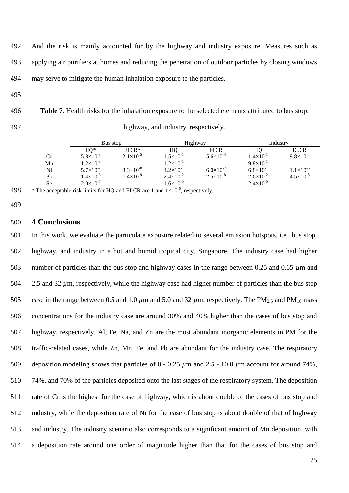- 492 And the risk is mainly accounted for by the highway and industry exposure. Measures such as 493 applying air purifiers at homes and reducing the penetration of outdoor particles by closing windows 494 may serve to mitigate the human inhalation exposure to the particles.
- 495

496 **Table 7**. Health risks for the inhalation exposure to the selected elements attributed to bus stop, 497 highway, and industry, respectively.

| ingnway, and muustry, respect |  |  |
|-------------------------------|--|--|
|                               |  |  |

|    | Bus stop             |                      | Highway              |                          | Industry             |                          |
|----|----------------------|----------------------|----------------------|--------------------------|----------------------|--------------------------|
|    | $HQ*$                | $ELCR*$              | HQ                   | <b>ELCR</b>              | H0                   | <b>ELCR</b>              |
| Сr | $5.8\times10^{-3}$   | $2.1 \times 10^{-5}$ | $1.5\times10^{-1}$   | $5.6 \times 10^{-4}$     | $1.4 \times 10^{-1}$ | $9.8\times10^{-4}$       |
| Mn | $1.2\times10^{-3}$   |                      | $1.2\times10^{-1}$   | $\overline{\phantom{a}}$ | $9.8 \times 10^{-1}$ | $\overline{\phantom{0}}$ |
| Ni | $5.7 \times 10^{-2}$ | $8.3\times10^{-8}$   | $4.2 \times 10^{-1}$ | $6.0\times10^{-7}$       | $6.8\times10^{-1}$   | $1.1 \times 10^{-6}$     |
| Pb | $1.4\times10^{-3}$   | $1.4 \times 10^{-9}$ | $2.4 \times 10^{-2}$ | $2.5 \times 10^{-8}$     | $2.6 \times 10^{-2}$ | $4.5 \times 10^{-8}$     |
| Se | $2.0\times10^{-7}$   |                      | $1.6\times10^{-5}$   | -                        | $2.4 \times 10^{-5}$ | -                        |

<sup>498</sup>  $*$  The acceptable risk limits for HQ and ELCR are 1 and  $1 \times 10^{-6}$ , respectively.

499

## 500 **4 Conclusions**

 In this work, we evaluate the particulate exposure related to several emission hotspots, i.e., bus stop, highway, and industry in a hot and humid tropical city, Singapore. The industry case had higher number of particles than the bus stop and highway cases in the range between 0.25 and 0.65 *µ*m and 504 2.5 and 32  $\mu$ m, respectively, while the highway case had higher number of particles than the bus stop 505 case in the range between 0.5 and 1.0  $\mu$ m and 5.0 and 32  $\mu$ m, respectively. The PM<sub>2.5</sub> and PM<sub>10</sub> mass concentrations for the industry case are around 30% and 40% higher than the cases of bus stop and highway, respectively. Al, Fe, Na, and Zn are the most abundant inorganic elements in PM for the traffic-related cases, while Zn, Mn, Fe, and Pb are abundant for the industry case. The respiratory deposition modeling shows that particles of 0 - 0.25 *µ*m and 2.5 - 10.0 *µ*m account for around 74%, 74%, and 70% of the particles deposited onto the last stages of the respiratory system. The deposition rate of Cr is the highest for the case of highway, which is about double of the cases of bus stop and industry, while the deposition rate of Ni for the case of bus stop is about double of that of highway and industry. The industry scenario also corresponds to a significant amount of Mn deposition, with a deposition rate around one order of magnitude higher than that for the cases of bus stop and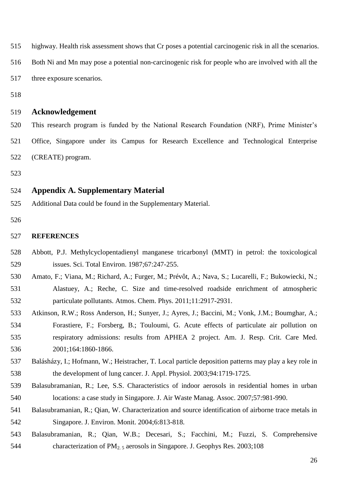highway. Health risk assessment shows that Cr poses a potential carcinogenic risk in all the scenarios. Both Ni and Mn may pose a potential non-carcinogenic risk for people who are involved with all the three exposure scenarios. **Acknowledgement** This research program is funded by the National Research Foundation (NRF), Prime Minister's Office, Singapore under its Campus for Research Excellence and Technological Enterprise (CREATE) program. **Appendix A. Supplementary Material** Additional Data could be found in the Supplementary Material. **REFERENCES** Abbott, P.J. Methylcyclopentadienyl manganese tricarbonyl (MMT) in petrol: the toxicological issues. Sci. Total Environ. 1987;67:247-255. Amato, F.; Viana, M.; Richard, A.; Furger, M.; Prévôt, A.; Nava, S.; Lucarelli, F.; Bukowiecki, N.; Alastuey, A.; Reche, C. Size and time-resolved roadside enrichment of atmospheric particulate pollutants. Atmos. Chem. Phys. 2011;11:2917-2931. Atkinson, R.W.; Ross Anderson, H.; Sunyer, J.; Ayres, J.; Baccini, M.; Vonk, J.M.; Boumghar, A.; Forastiere, F.; Forsberg, B.; Touloumi, G. Acute effects of particulate air pollution on respiratory admissions: results from APHEA 2 project. Am. J. Resp. Crit. Care Med. 2001;164:1860-1866. Balásházy, I.; Hofmann, W.; Heistracher, T. Local particle deposition patterns may play a key role in the development of lung cancer. J. Appl. Physiol. 2003;94:1719-1725. Balasubramanian, R.; Lee, S.S. Characteristics of indoor aerosols in residential homes in urban locations: a case study in Singapore. J. Air Waste Manag. Assoc. 2007;57:981-990. Balasubramanian, R.; Qian, W. Characterization and source identification of airborne trace metals in

Singapore. J. Environ. Monit. 2004;6:813-818.

 Balasubramanian, R.; Qian, W.B.; Decesari, S.; Facchini, M.; Fuzzi, S. Comprehensive 544 characterization of  $PM_{2.5}$  aerosols in Singapore. J. Geophys Res. 2003;108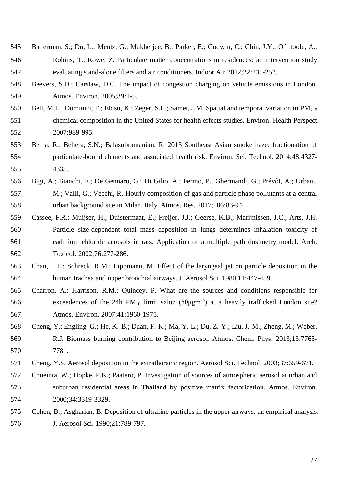- Batterman, S.; Du, L.; Mentz, G.; Mukherjee, B.; Parker, E.; Godwin, C.; Chin, J.Y.; O'toole, A.; Robins, T.; Rowe, Z. Particulate matter concentrations in residences: an intervention study evaluating stand-alone filters and air conditioners. Indoor Air 2012;22:235-252.
- Beevers, S.D.; Carslaw, D.C. The impact of congestion charging on vehicle emissions in London. Atmos. Environ. 2005;39:1-5.
- 550 Bell, M.L.; Dominici, F.; Ebisu, K.; Zeger, S.L.; Samet, J.M. Spatial and temporal variation in PM<sub>2.5</sub> chemical composition in the United States for health effects studies. Environ. Health Perspect. 2007:989-995.
- Betha, R.; Behera, S.N.; Balasubramanian, R. 2013 Southeast Asian smoke haze: fractionation of particulate-bound elements and associated health risk. Environ. Sci. Technol. 2014;48:4327- 4335.
- Bigi, A.; Bianchi, F.; De Gennaro, G.; Di Gilio, A.; Fermo, P.; Ghermandi, G.; Prévôt, A.; Urbani, M.; Valli, G.; Vecchi, R. Hourly composition of gas and particle phase pollutants at a central urban background site in Milan, Italy. Atmos. Res. 2017;186:83-94.
- Cassee, F.R.; Muijser, H.; Duistermaat, E.; Freijer, J.J.; Geerse, K.B.; Marijnissen, J.C.; Arts, J.H. Particle size-dependent total mass deposition in lungs determines inhalation toxicity of cadmium chloride aerosols in rats. Application of a multiple path dosimetry model. Arch. Toxicol. 2002;76:277-286.
- Chan, T.L.; Schreck, R.M.; Lippmann, M. Effect of the laryngeal jet on particle deposition in the human trachea and upper bronchial airways. J. Aerosol Sci. 1980;11:447-459.
- Charron, A.; Harrison, R.M.; Quincey, P. What are the sources and conditions responsible for 566 exceedences of the 24h  $PM_{10}$  limit value (50 $\mu$ gm<sup>-3</sup>) at a heavily trafficked London site? Atmos. Environ. 2007;41:1960-1975.
- Cheng, Y.; Engling, G.; He, K.-B.; Duan, F.-K.; Ma, Y.-L.; Du, Z.-Y.; Liu, J.-M.; Zheng, M.; Weber, R.J. Biomass burning contribution to Beijing aerosol. Atmos. Chem. Phys. 2013;13:7765- 7781.
- Cheng, Y.S. Aerosol deposition in the extrathoracic region. Aerosol Sci. Technol. 2003;37:659-671.
- Chueinta, W.; Hopke, P.K.; Paatero, P. Investigation of sources of atmospheric aerosol at urban and suburban residential areas in Thailand by positive matrix factorization. Atmos. Environ. 2000;34:3319-3329.
- Cohen, B.; Asgharian, B. Deposition of ultrafine particles in the upper airways: an empirical analysis. J. Aerosol Sci. 1990;21:789-797.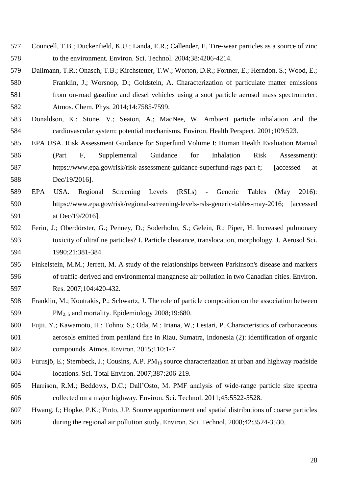- Councell, T.B.; Duckenfield, K.U.; Landa, E.R.; Callender, E. Tire-wear particles as a source of zinc to the environment. Environ. Sci. Technol. 2004;38:4206-4214.
- Dallmann, T.R.; Onasch, T.B.; Kirchstetter, T.W.; Worton, D.R.; Fortner, E.; Herndon, S.; Wood, E.; Franklin, J.; Worsnop, D.; Goldstein, A. Characterization of particulate matter emissions from on-road gasoline and diesel vehicles using a soot particle aerosol mass spectrometer.
- Atmos. Chem. Phys. 2014;14:7585-7599.
- Donaldson, K.; Stone, V.; Seaton, A.; MacNee, W. Ambient particle inhalation and the cardiovascular system: potential mechanisms. Environ. Health Perspect. 2001;109:523.
- EPA USA. Risk Assessment Guidance for Superfund Volume I: Human Health Evaluation Manual (Part F, Supplemental Guidance for Inhalation Risk Assessment): https://www.epa.gov/risk/risk-assessment-guidance-superfund-rags-part-f; [accessed at Dec/19/2016].
- EPA USA. Regional Screening Levels (RSLs) Generic Tables (May 2016): https://www.epa.gov/risk/regional-screening-levels-rsls-generic-tables-may-2016; [accessed at Dec/19/2016].
- Ferin, J.; Oberdörster, G.; Penney, D.; Soderholm, S.; Gelein, R.; Piper, H. Increased pulmonary toxicity of ultrafine particles? I. Particle clearance, translocation, morphology. J. Aerosol Sci. 1990;21:381-384.
- Finkelstein, M.M.; Jerrett, M. A study of the relationships between Parkinson's disease and markers of traffic-derived and environmental manganese air pollution in two Canadian cities. Environ. Res. 2007;104:420-432.
- Franklin, M.; Koutrakis, P.; Schwartz, J. The role of particle composition on the association between 599 PM<sub>2.5</sub> and mortality. Epidemiology 2008;19:680.
- Fujii, Y.; Kawamoto, H.; Tohno, S.; Oda, M.; Iriana, W.; Lestari, P. Characteristics of carbonaceous aerosols emitted from peatland fire in Riau, Sumatra, Indonesia (2): identification of organic compounds. Atmos. Environ. 2015;110:1-7.
- 603 Furusjö, E.; Sternbeck, J.; Cousins, A.P. PM<sub>10</sub> source characterization at urban and highway roadside locations. Sci. Total Environ. 2007;387:206-219.
- Harrison, R.M.; Beddows, D.C.; Dall'Osto, M. PMF analysis of wide-range particle size spectra collected on a major highway. Environ. Sci. Technol. 2011;45:5522-5528.
- Hwang, I.; Hopke, P.K.; Pinto, J.P. Source apportionment and spatial distributions of coarse particles during the regional air pollution study. Environ. Sci. Technol. 2008;42:3524-3530.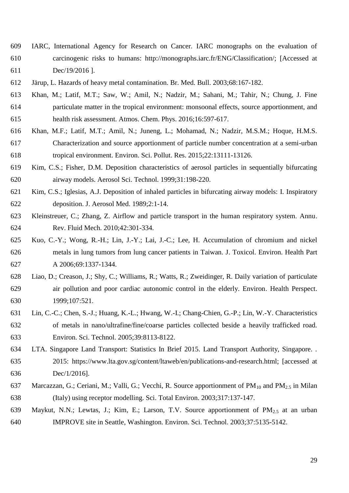- IARC, International Agency for Research on Cancer. IARC monographs on the evaluation of carcinogenic risks to humans: http://monographs.iarc.fr/ENG/Classification/; [Accessed at Dec/19/2016 ].
- Järup, L. Hazards of heavy metal contamination. Br. Med. Bull. 2003;68:167-182.
- Khan, M.; Latif, M.T.; Saw, W.; Amil, N.; Nadzir, M.; Sahani, M.; Tahir, N.; Chung, J. Fine particulate matter in the tropical environment: monsoonal effects, source apportionment, and health risk assessment. Atmos. Chem. Phys. 2016;16:597-617.
- Khan, M.F.; Latif, M.T.; Amil, N.; Juneng, L.; Mohamad, N.; Nadzir, M.S.M.; Hoque, H.M.S. Characterization and source apportionment of particle number concentration at a semi-urban tropical environment. Environ. Sci. Pollut. Res. 2015;22:13111-13126.
- Kim, C.S.; Fisher, D.M. Deposition characteristics of aerosol particles in sequentially bifurcating airway models. Aerosol Sci. Technol. 1999;31:198-220.
- Kim, C.S.; Iglesias, A.J. Deposition of inhaled particles in bifurcating airway models: I. Inspiratory deposition. J. Aerosol Med. 1989;2:1-14.
- Kleinstreuer, C.; Zhang, Z. Airflow and particle transport in the human respiratory system. Annu. Rev. Fluid Mech. 2010;42:301-334.
- Kuo, C.-Y.; Wong, R.-H.; Lin, J.-Y.; Lai, J.-C.; Lee, H. Accumulation of chromium and nickel metals in lung tumors from lung cancer patients in Taiwan. J. Toxicol. Environ. Health Part A 2006;69:1337-1344.
- Liao, D.; Creason, J.; Shy, C.; Williams, R.; Watts, R.; Zweidinger, R. Daily variation of particulate air pollution and poor cardiac autonomic control in the elderly. Environ. Health Perspect. 1999;107:521.
- Lin, C.-C.; Chen, S.-J.; Huang, K.-L.; Hwang, W.-I.; Chang-Chien, G.-P.; Lin, W.-Y. Characteristics of metals in nano/ultrafine/fine/coarse particles collected beside a heavily trafficked road. Environ. Sci. Technol. 2005;39:8113-8122.
- LTA. Singapore Land Transport: Statistics In Brief 2015. Land Transport Authority, Singapore. . 2015: https://www.lta.gov.sg/content/ltaweb/en/publications-and-research.html; [accessed at Dec/1/2016].
- 637 Marcazzan, G.; Ceriani, M.; Valli, G.; Vecchi, R. Source apportionment of  $PM_{10}$  and  $PM_{2.5}$  in Milan (Italy) using receptor modelling. Sci. Total Environ. 2003;317:137-147.
- Maykut, N.N.; Lewtas, J.; Kim, E.; Larson, T.V. Source apportionment of PM2.5 at an urban IMPROVE site in Seattle, Washington. Environ. Sci. Technol. 2003;37:5135-5142.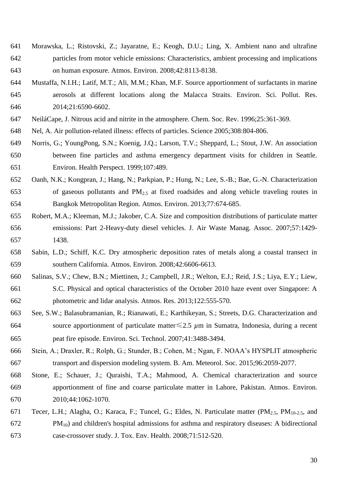- Morawska, L.; Ristovski, Z.; Jayaratne, E.; Keogh, D.U.; Ling, X. Ambient nano and ultrafine particles from motor vehicle emissions: Characteristics, ambient processing and implications on human exposure. Atmos. Environ. 2008;42:8113-8138.
- Mustaffa, N.I.H.; Latif, M.T.; Ali, M.M.; Khan, M.F. Source apportionment of surfactants in marine aerosols at different locations along the Malacca Straits. Environ. Sci. Pollut. Res. 2014;21:6590-6602.
- NeiláCape, J. Nitrous acid and nitrite in the atmosphere. Chem. Soc. Rev. 1996;25:361-369.
- Nel, A. Air pollution-related illness: effects of particles. Science 2005;308:804-806.
- Norris, G.; YoungPong, S.N.; Koenig, J.Q.; Larson, T.V.; Sheppard, L.; Stout, J.W. An association between fine particles and asthma emergency department visits for children in Seattle. Environ. Health Perspect. 1999;107:489.
- Oanh, N.K.; Kongpran, J.; Hang, N.; Parkpian, P.; Hung, N.; Lee, S.-B.; Bae, G.-N. Characterization 653 of gaseous pollutants and  $PM<sub>2.5</sub>$  at fixed roadsides and along vehicle traveling routes in Bangkok Metropolitan Region. Atmos. Environ. 2013;77:674-685.
- Robert, M.A.; Kleeman, M.J.; Jakober, C.A. Size and composition distributions of particulate matter emissions: Part 2-Heavy-duty diesel vehicles. J. Air Waste Manag. Assoc. 2007;57:1429- 1438.
- Sabin, L.D.; Schiff, K.C. Dry atmospheric deposition rates of metals along a coastal transect in southern California. Atmos. Environ. 2008;42:6606-6613.
- Salinas, S.V.; Chew, B.N.; Miettinen, J.; Campbell, J.R.; Welton, E.J.; Reid, J.S.; Liya, E.Y.; Liew, S.C. Physical and optical characteristics of the October 2010 haze event over Singapore: A photometric and lidar analysis. Atmos. Res. 2013;122:555-570.
- See, S.W.; Balasubramanian, R.; Rianawati, E.; Karthikeyan, S.; Streets, D.G. Characterization and source apportionment of particulate matter≤2.5 *µ*m in Sumatra, Indonesia, during a recent peat fire episode. Environ. Sci. Technol. 2007;41:3488-3494.
- Stein, A.; Draxler, R.; Rolph, G.; Stunder, B.; Cohen, M.; Ngan, F. NOAA's HYSPLIT atmospheric transport and dispersion modeling system. B. Am. Meteorol. Soc. 2015;96:2059-2077.
- Stone, E.; Schauer, J.; Quraishi, T.A.; Mahmood, A. Chemical characterization and source apportionment of fine and coarse particulate matter in Lahore, Pakistan. Atmos. Environ. 2010;44:1062-1070.
- 671 Tecer, L.H.; Alagha, O.; Karaca, F.; Tuncel, G.; Eldes, N. Particulate matter (PM<sub>2.5</sub>, PM<sub>10-2.5</sub>, and PM<sub>10</sub>) and children's hospital admissions for asthma and respiratory diseases: A bidirectional case-crossover study. J. Tox. Env. Health. 2008;71:512-520.